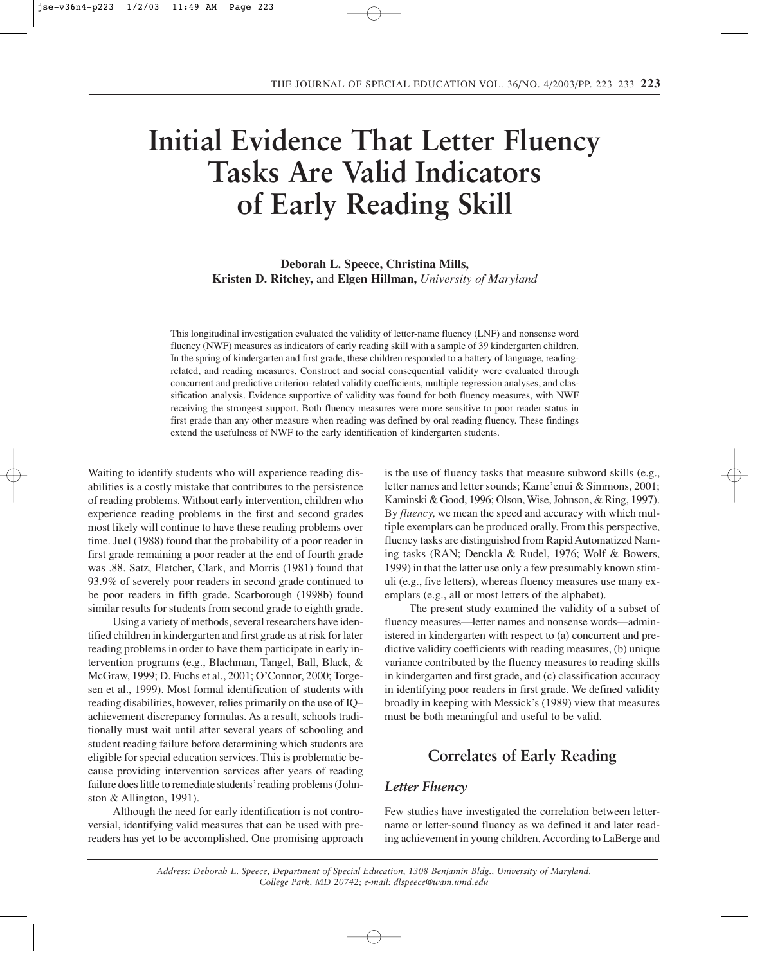# **Initial Evidence That Letter Fluency Tasks Are Valid Indicators of Early Reading Skill**

#### **Deborah L. Speece, Christina Mills, Kristen D. Ritchey,** and **Elgen Hillman,** *University of Maryland*

This longitudinal investigation evaluated the validity of letter-name fluency (LNF) and nonsense word fluency (NWF) measures as indicators of early reading skill with a sample of 39 kindergarten children. In the spring of kindergarten and first grade, these children responded to a battery of language, readingrelated, and reading measures. Construct and social consequential validity were evaluated through concurrent and predictive criterion-related validity coefficients, multiple regression analyses, and classification analysis. Evidence supportive of validity was found for both fluency measures, with NWF receiving the strongest support. Both fluency measures were more sensitive to poor reader status in first grade than any other measure when reading was defined by oral reading fluency. These findings extend the usefulness of NWF to the early identification of kindergarten students.

Waiting to identify students who will experience reading disabilities is a costly mistake that contributes to the persistence of reading problems. Without early intervention, children who experience reading problems in the first and second grades most likely will continue to have these reading problems over time. Juel (1988) found that the probability of a poor reader in first grade remaining a poor reader at the end of fourth grade was .88. Satz, Fletcher, Clark, and Morris (1981) found that 93.9% of severely poor readers in second grade continued to be poor readers in fifth grade. Scarborough (1998b) found similar results for students from second grade to eighth grade.

Using a variety of methods, several researchers have identified children in kindergarten and first grade as at risk for later reading problems in order to have them participate in early intervention programs (e.g., Blachman, Tangel, Ball, Black, & McGraw, 1999; D. Fuchs et al., 2001; O'Connor, 2000; Torgesen et al., 1999). Most formal identification of students with reading disabilities, however, relies primarily on the use of IQ– achievement discrepancy formulas. As a result, schools traditionally must wait until after several years of schooling and student reading failure before determining which students are eligible for special education services. This is problematic because providing intervention services after years of reading failure does little to remediate students'reading problems (Johnston & Allington, 1991).

Although the need for early identification is not controversial, identifying valid measures that can be used with prereaders has yet to be accomplished. One promising approach is the use of fluency tasks that measure subword skills (e.g., letter names and letter sounds; Kame'enui & Simmons, 2001; Kaminski & Good, 1996; Olson, Wise, Johnson, & Ring, 1997). By *fluency,* we mean the speed and accuracy with which multiple exemplars can be produced orally. From this perspective, fluency tasks are distinguished from Rapid Automatized Naming tasks (RAN; Denckla & Rudel, 1976; Wolf & Bowers, 1999) in that the latter use only a few presumably known stimuli (e.g., five letters), whereas fluency measures use many exemplars (e.g., all or most letters of the alphabet).

The present study examined the validity of a subset of fluency measures—letter names and nonsense words—administered in kindergarten with respect to (a) concurrent and predictive validity coefficients with reading measures, (b) unique variance contributed by the fluency measures to reading skills in kindergarten and first grade, and (c) classification accuracy in identifying poor readers in first grade. We defined validity broadly in keeping with Messick's (1989) view that measures must be both meaningful and useful to be valid.

## **Correlates of Early Reading**

## *Letter Fluency*

Few studies have investigated the correlation between lettername or letter-sound fluency as we defined it and later reading achievement in young children. According to LaBerge and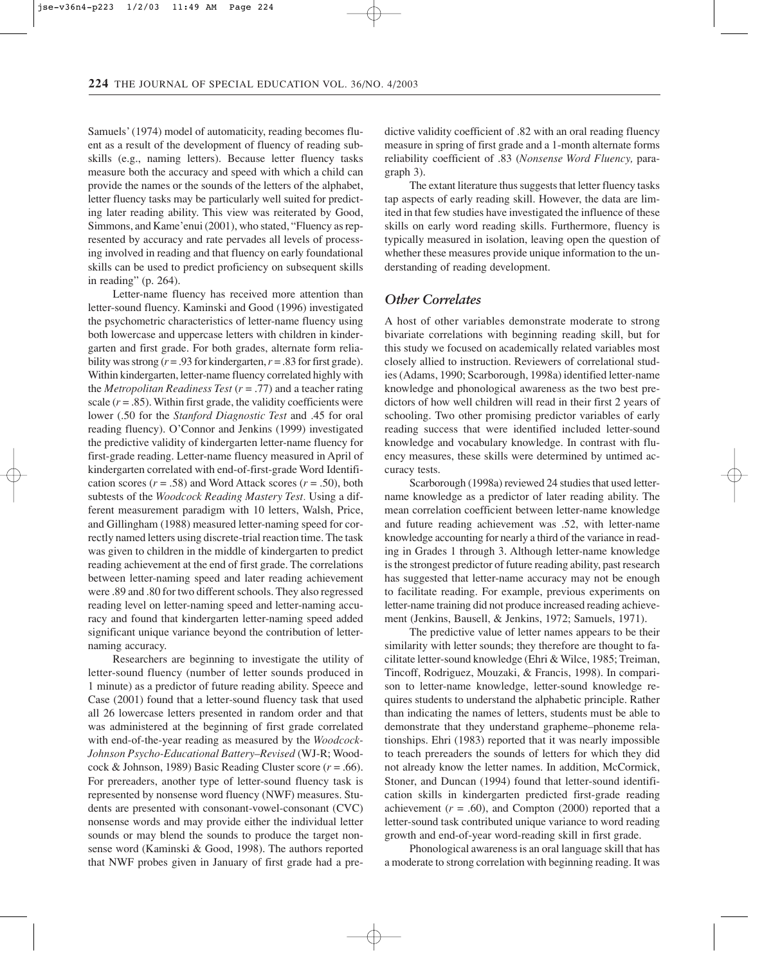Samuels' (1974) model of automaticity, reading becomes fluent as a result of the development of fluency of reading subskills (e.g., naming letters). Because letter fluency tasks measure both the accuracy and speed with which a child can provide the names or the sounds of the letters of the alphabet, letter fluency tasks may be particularly well suited for predicting later reading ability. This view was reiterated by Good, Simmons, and Kame'enui (2001), who stated, "Fluency as represented by accuracy and rate pervades all levels of processing involved in reading and that fluency on early foundational skills can be used to predict proficiency on subsequent skills in reading" (p. 264).

Letter-name fluency has received more attention than letter-sound fluency. Kaminski and Good (1996) investigated the psychometric characteristics of letter-name fluency using both lowercase and uppercase letters with children in kindergarten and first grade. For both grades, alternate form reliability was strong  $(r = .93$  for kindergarten,  $r = .83$  for first grade). Within kindergarten, letter-name fluency correlated highly with the *Metropolitan Readiness Test* (*r* = .77) and a teacher rating scale  $(r = .85)$ . Within first grade, the validity coefficients were lower (.50 for the *Stanford Diagnostic Test* and .45 for oral reading fluency). O'Connor and Jenkins (1999) investigated the predictive validity of kindergarten letter-name fluency for first-grade reading. Letter-name fluency measured in April of kindergarten correlated with end-of-first-grade Word Identification scores  $(r = .58)$  and Word Attack scores  $(r = .50)$ , both subtests of the *Woodcock Reading Mastery Test.* Using a different measurement paradigm with 10 letters, Walsh, Price, and Gillingham (1988) measured letter-naming speed for correctly named letters using discrete-trial reaction time. The task was given to children in the middle of kindergarten to predict reading achievement at the end of first grade. The correlations between letter-naming speed and later reading achievement were .89 and .80 for two different schools. They also regressed reading level on letter-naming speed and letter-naming accuracy and found that kindergarten letter-naming speed added significant unique variance beyond the contribution of letternaming accuracy.

Researchers are beginning to investigate the utility of letter-sound fluency (number of letter sounds produced in 1 minute) as a predictor of future reading ability. Speece and Case (2001) found that a letter-sound fluency task that used all 26 lowercase letters presented in random order and that was administered at the beginning of first grade correlated with end-of-the-year reading as measured by the *Woodcock-Johnson Psycho-Educational Battery–Revised* (WJ-R; Woodcock & Johnson, 1989) Basic Reading Cluster score (*r* = .66). For prereaders, another type of letter-sound fluency task is represented by nonsense word fluency (NWF) measures. Students are presented with consonant-vowel-consonant (CVC) nonsense words and may provide either the individual letter sounds or may blend the sounds to produce the target nonsense word (Kaminski & Good, 1998). The authors reported that NWF probes given in January of first grade had a pre-

dictive validity coefficient of .82 with an oral reading fluency measure in spring of first grade and a 1-month alternate forms reliability coefficient of .83 (*Nonsense Word Fluency,* paragraph 3).

The extant literature thus suggests that letter fluency tasks tap aspects of early reading skill. However, the data are limited in that few studies have investigated the influence of these skills on early word reading skills. Furthermore, fluency is typically measured in isolation, leaving open the question of whether these measures provide unique information to the understanding of reading development.

#### *Other Correlates*

A host of other variables demonstrate moderate to strong bivariate correlations with beginning reading skill, but for this study we focused on academically related variables most closely allied to instruction. Reviewers of correlational studies (Adams, 1990; Scarborough, 1998a) identified letter-name knowledge and phonological awareness as the two best predictors of how well children will read in their first 2 years of schooling. Two other promising predictor variables of early reading success that were identified included letter-sound knowledge and vocabulary knowledge. In contrast with fluency measures, these skills were determined by untimed accuracy tests.

Scarborough (1998a) reviewed 24 studies that used lettername knowledge as a predictor of later reading ability. The mean correlation coefficient between letter-name knowledge and future reading achievement was .52, with letter-name knowledge accounting for nearly a third of the variance in reading in Grades 1 through 3. Although letter-name knowledge is the strongest predictor of future reading ability, past research has suggested that letter-name accuracy may not be enough to facilitate reading. For example, previous experiments on letter-name training did not produce increased reading achievement (Jenkins, Bausell, & Jenkins, 1972; Samuels, 1971).

The predictive value of letter names appears to be their similarity with letter sounds; they therefore are thought to facilitate letter-sound knowledge (Ehri & Wilce, 1985; Treiman, Tincoff, Rodriguez, Mouzaki, & Francis, 1998). In comparison to letter-name knowledge, letter-sound knowledge requires students to understand the alphabetic principle. Rather than indicating the names of letters, students must be able to demonstrate that they understand grapheme–phoneme relationships. Ehri (1983) reported that it was nearly impossible to teach prereaders the sounds of letters for which they did not already know the letter names. In addition, McCormick, Stoner, and Duncan (1994) found that letter-sound identification skills in kindergarten predicted first-grade reading achievement  $(r = .60)$ , and Compton (2000) reported that a letter-sound task contributed unique variance to word reading growth and end-of-year word-reading skill in first grade.

Phonological awareness is an oral language skill that has a moderate to strong correlation with beginning reading. It was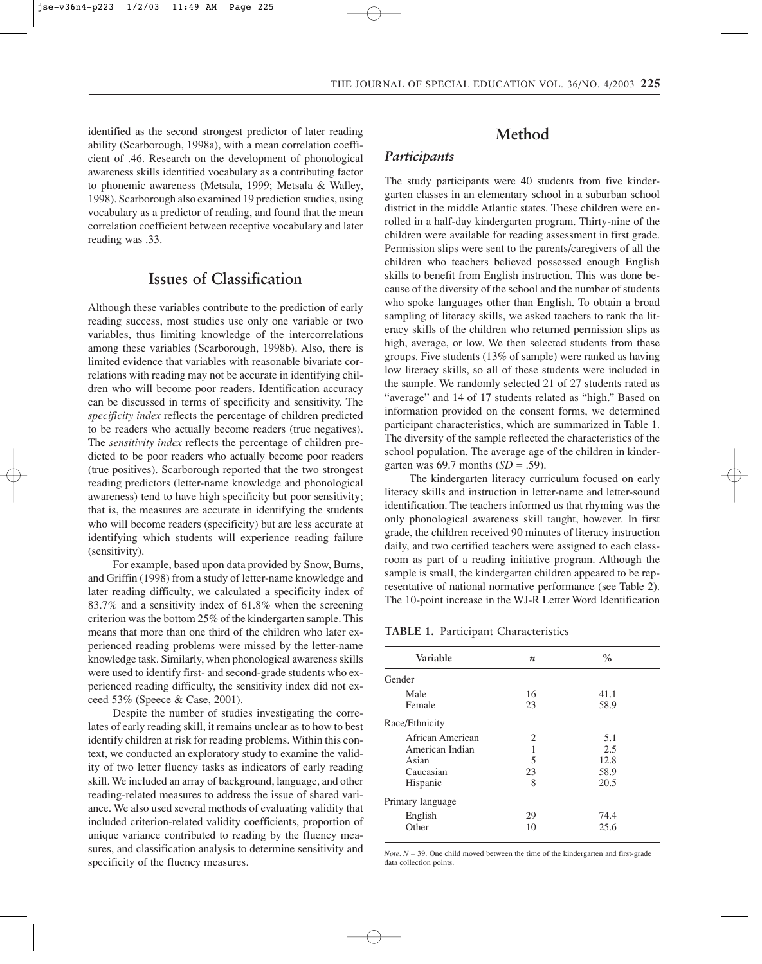identified as the second strongest predictor of later reading ability (Scarborough, 1998a), with a mean correlation coefficient of .46. Research on the development of phonological awareness skills identified vocabulary as a contributing factor to phonemic awareness (Metsala, 1999; Metsala & Walley, 1998). Scarborough also examined 19 prediction studies, using vocabulary as a predictor of reading, and found that the mean correlation coefficient between receptive vocabulary and later reading was .33.

## **Issues of Classification**

Although these variables contribute to the prediction of early reading success, most studies use only one variable or two variables, thus limiting knowledge of the intercorrelations among these variables (Scarborough, 1998b). Also, there is limited evidence that variables with reasonable bivariate correlations with reading may not be accurate in identifying children who will become poor readers. Identification accuracy can be discussed in terms of specificity and sensitivity. The *specificity index* reflects the percentage of children predicted to be readers who actually become readers (true negatives). The *sensitivity index* reflects the percentage of children predicted to be poor readers who actually become poor readers (true positives). Scarborough reported that the two strongest reading predictors (letter-name knowledge and phonological awareness) tend to have high specificity but poor sensitivity; that is, the measures are accurate in identifying the students who will become readers (specificity) but are less accurate at identifying which students will experience reading failure (sensitivity).

For example, based upon data provided by Snow, Burns, and Griffin (1998) from a study of letter-name knowledge and later reading difficulty, we calculated a specificity index of 83.7% and a sensitivity index of 61.8% when the screening criterion was the bottom 25% of the kindergarten sample. This means that more than one third of the children who later experienced reading problems were missed by the letter-name knowledge task. Similarly, when phonological awareness skills were used to identify first- and second-grade students who experienced reading difficulty, the sensitivity index did not exceed 53% (Speece & Case, 2001).

Despite the number of studies investigating the correlates of early reading skill, it remains unclear as to how to best identify children at risk for reading problems. Within this context, we conducted an exploratory study to examine the validity of two letter fluency tasks as indicators of early reading skill. We included an array of background, language, and other reading-related measures to address the issue of shared variance. We also used several methods of evaluating validity that included criterion-related validity coefficients, proportion of unique variance contributed to reading by the fluency measures, and classification analysis to determine sensitivity and specificity of the fluency measures.

## **Method**

#### *Participants*

The study participants were 40 students from five kindergarten classes in an elementary school in a suburban school district in the middle Atlantic states. These children were enrolled in a half-day kindergarten program. Thirty-nine of the children were available for reading assessment in first grade. Permission slips were sent to the parents/caregivers of all the children who teachers believed possessed enough English skills to benefit from English instruction. This was done because of the diversity of the school and the number of students who spoke languages other than English. To obtain a broad sampling of literacy skills, we asked teachers to rank the literacy skills of the children who returned permission slips as high, average, or low. We then selected students from these groups. Five students (13% of sample) were ranked as having low literacy skills, so all of these students were included in the sample. We randomly selected 21 of 27 students rated as "average" and 14 of 17 students related as "high." Based on information provided on the consent forms, we determined participant characteristics, which are summarized in Table 1. The diversity of the sample reflected the characteristics of the school population. The average age of the children in kindergarten was 69.7 months  $(SD = .59)$ .

The kindergarten literacy curriculum focused on early literacy skills and instruction in letter-name and letter-sound identification. The teachers informed us that rhyming was the only phonological awareness skill taught, however. In first grade, the children received 90 minutes of literacy instruction daily, and two certified teachers were assigned to each classroom as part of a reading initiative program. Although the sample is small, the kindergarten children appeared to be representative of national normative performance (see Table 2). The 10-point increase in the WJ-R Letter Word Identification

#### **TABLE 1.** Participant Characteristics

| Variable         | n  | $\frac{0}{0}$ |  |
|------------------|----|---------------|--|
| Gender           |    |               |  |
| Male             | 16 | 41.1          |  |
| Female           | 23 | 58.9          |  |
| Race/Ethnicity   |    |               |  |
| African American | 2  | 5.1           |  |
| American Indian  | 1  | 2.5           |  |
| Asian            | 5  | 12.8          |  |
| Caucasian        | 23 | 58.9          |  |
| Hispanic         | 8  | 20.5          |  |
| Primary language |    |               |  |
| English          | 29 | 74.4          |  |
| Other            | 10 | 25.6          |  |

*Note.*  $N = 39$ . One child moved between the time of the kindergarten and first-grade data collection points.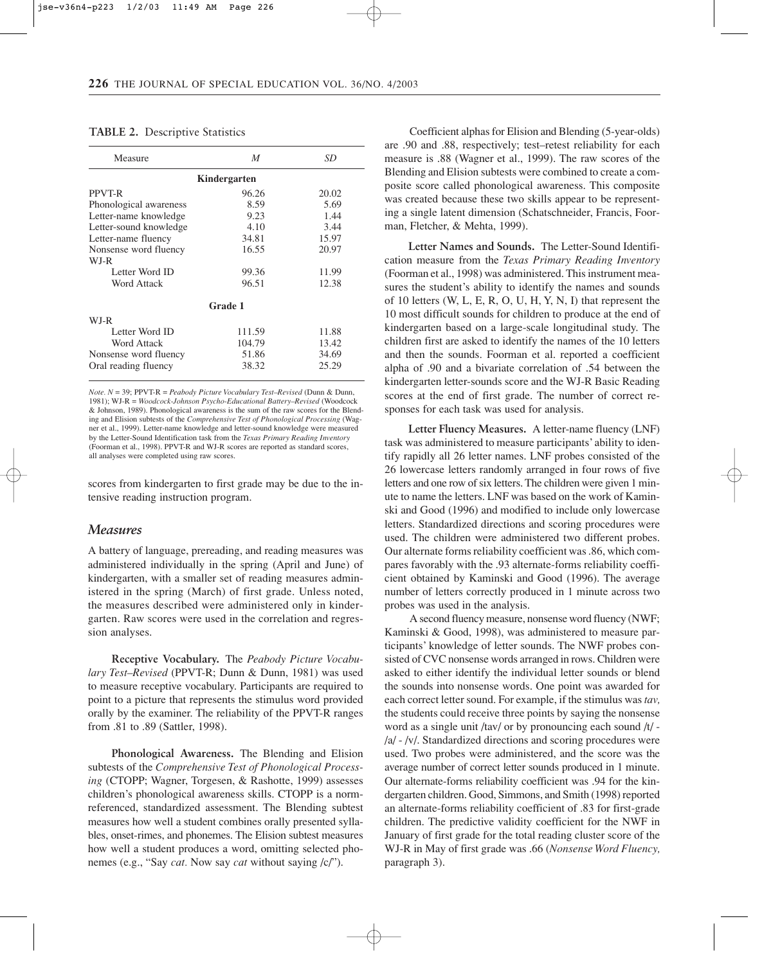| <b>TABLE 2. Descriptive Statistics</b> |
|----------------------------------------|
|                                        |

| Measure                | M      | SD    |  |  |  |  |  |
|------------------------|--------|-------|--|--|--|--|--|
| Kindergarten           |        |       |  |  |  |  |  |
| <b>PPVT-R</b>          | 96.26  | 20.02 |  |  |  |  |  |
| Phonological awareness | 8.59   | 5.69  |  |  |  |  |  |
| Letter-name knowledge  | 9.23   | 1.44  |  |  |  |  |  |
| Letter-sound knowledge | 4.10   | 3.44  |  |  |  |  |  |
| Letter-name fluency    | 34.81  | 15.97 |  |  |  |  |  |
| Nonsense word fluency  | 16.55  | 20.97 |  |  |  |  |  |
| WJ-R                   |        |       |  |  |  |  |  |
| Letter Word ID         | 99.36  | 11.99 |  |  |  |  |  |
| Word Attack            | 96.51  | 12.38 |  |  |  |  |  |
| Grade 1                |        |       |  |  |  |  |  |
| WJ-R                   |        |       |  |  |  |  |  |
| Letter Word ID         | 111.59 | 11.88 |  |  |  |  |  |
| Word Attack            | 104.79 | 13.42 |  |  |  |  |  |
| Nonsense word fluency  | 51.86  | 34.69 |  |  |  |  |  |
| Oral reading fluency   | 38.32  | 25.29 |  |  |  |  |  |

*Note. N* = 39; PPVT-R = *Peabody Picture Vocabulary Test–Revised* (Dunn & Dunn, 1981); WJ-R = *Woodcock-Johnson Psycho-Educational Battery–Revised* (Woodcock & Johnson, 1989). Phonological awareness is the sum of the raw scores for the Blending and Elision subtests of the *Comprehensive Test of Phonological Processing* (Wagner et al., 1999). Letter-name knowledge and letter-sound knowledge were measured by the Letter-Sound Identification task from the *Texas Primary Reading Inventory* (Foorman et al., 1998). PPVT-R and WJ-R scores are reported as standard scores, all analyses were completed using raw scores.

scores from kindergarten to first grade may be due to the intensive reading instruction program.

#### *Measures*

A battery of language, prereading, and reading measures was administered individually in the spring (April and June) of kindergarten, with a smaller set of reading measures administered in the spring (March) of first grade. Unless noted, the measures described were administered only in kindergarten. Raw scores were used in the correlation and regression analyses.

**Receptive Vocabulary.** The *Peabody Picture Vocabulary Test–Revised* (PPVT-R; Dunn & Dunn, 1981) was used to measure receptive vocabulary. Participants are required to point to a picture that represents the stimulus word provided orally by the examiner. The reliability of the PPVT-R ranges from .81 to .89 (Sattler, 1998).

**Phonological Awareness.** The Blending and Elision subtests of the *Comprehensive Test of Phonological Processing* (CTOPP; Wagner, Torgesen, & Rashotte, 1999) assesses children's phonological awareness skills. CTOPP is a normreferenced, standardized assessment. The Blending subtest measures how well a student combines orally presented syllables, onset-rimes, and phonemes. The Elision subtest measures how well a student produces a word, omitting selected phonemes (e.g., "Say *cat.* Now say *cat* without saying /c/").

Coefficient alphas for Elision and Blending (5-year-olds) are .90 and .88, respectively; test–retest reliability for each measure is .88 (Wagner et al., 1999). The raw scores of the Blending and Elision subtests were combined to create a composite score called phonological awareness. This composite was created because these two skills appear to be representing a single latent dimension (Schatschneider, Francis, Foorman, Fletcher, & Mehta, 1999).

**Letter Names and Sounds.** The Letter-Sound Identification measure from the *Texas Primary Reading Inventory* (Foorman et al., 1998) was administered. This instrument measures the student's ability to identify the names and sounds of 10 letters (W, L, E, R, O, U, H, Y, N, I) that represent the 10 most difficult sounds for children to produce at the end of kindergarten based on a large-scale longitudinal study. The children first are asked to identify the names of the 10 letters and then the sounds. Foorman et al. reported a coefficient alpha of .90 and a bivariate correlation of .54 between the kindergarten letter-sounds score and the WJ-R Basic Reading scores at the end of first grade. The number of correct responses for each task was used for analysis.

**Letter Fluency Measures.** A letter-name fluency (LNF) task was administered to measure participants' ability to identify rapidly all 26 letter names. LNF probes consisted of the 26 lowercase letters randomly arranged in four rows of five letters and one row of six letters. The children were given 1 minute to name the letters. LNF was based on the work of Kaminski and Good (1996) and modified to include only lowercase letters. Standardized directions and scoring procedures were used. The children were administered two different probes. Our alternate forms reliability coefficient was .86, which compares favorably with the .93 alternate-forms reliability coefficient obtained by Kaminski and Good (1996). The average number of letters correctly produced in 1 minute across two probes was used in the analysis.

A second fluency measure, nonsense word fluency (NWF; Kaminski & Good, 1998), was administered to measure participants' knowledge of letter sounds. The NWF probes consisted of CVC nonsense words arranged in rows. Children were asked to either identify the individual letter sounds or blend the sounds into nonsense words. One point was awarded for each correct letter sound. For example, if the stimulus was *tav,* the students could receive three points by saying the nonsense word as a single unit /tav/ or by pronouncing each sound /t/ - /a/ - /v/. Standardized directions and scoring procedures were used. Two probes were administered, and the score was the average number of correct letter sounds produced in 1 minute. Our alternate-forms reliability coefficient was .94 for the kindergarten children. Good, Simmons, and Smith (1998) reported an alternate-forms reliability coefficient of .83 for first-grade children. The predictive validity coefficient for the NWF in January of first grade for the total reading cluster score of the WJ-R in May of first grade was .66 (*Nonsense Word Fluency,* paragraph 3).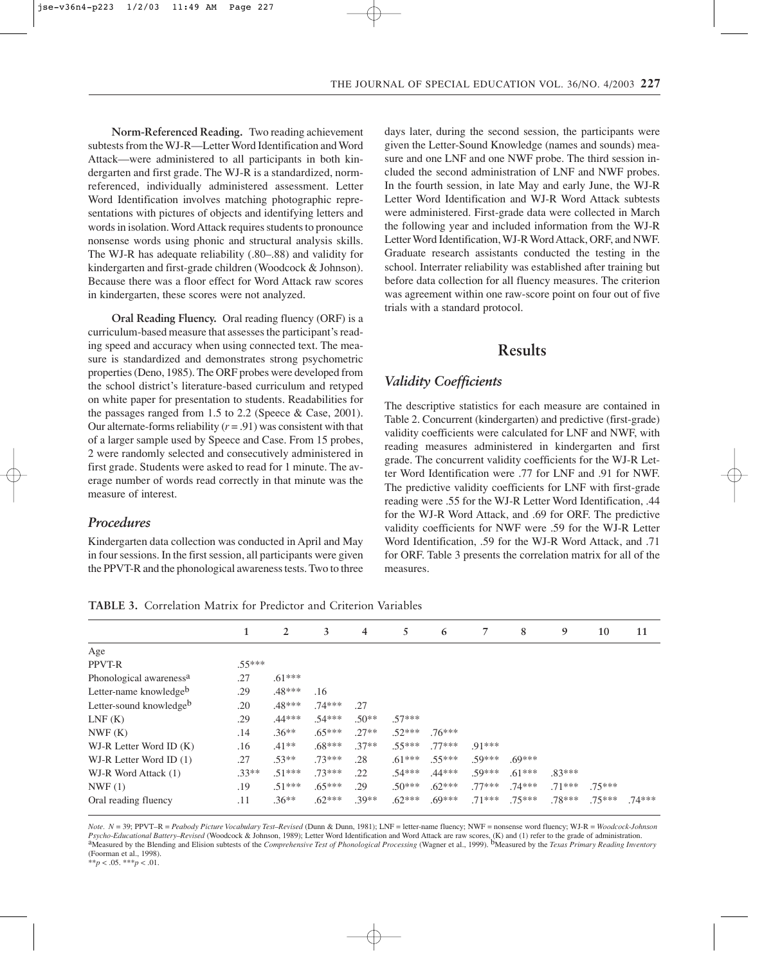**Norm-Referenced Reading.** Two reading achievement subtests from the WJ-R—Letter Word Identification and Word Attack—were administered to all participants in both kindergarten and first grade. The WJ-R is a standardized, normreferenced, individually administered assessment. Letter Word Identification involves matching photographic representations with pictures of objects and identifying letters and words in isolation. Word Attack requires students to pronounce nonsense words using phonic and structural analysis skills. The WJ-R has adequate reliability (.80–.88) and validity for kindergarten and first-grade children (Woodcock & Johnson). Because there was a floor effect for Word Attack raw scores in kindergarten, these scores were not analyzed.

**Oral Reading Fluency.** Oral reading fluency (ORF) is a curriculum-based measure that assesses the participant's reading speed and accuracy when using connected text. The measure is standardized and demonstrates strong psychometric properties (Deno, 1985). The ORF probes were developed from the school district's literature-based curriculum and retyped on white paper for presentation to students. Readabilities for the passages ranged from 1.5 to 2.2 (Speece & Case, 2001). Our alternate-forms reliability  $(r = .91)$  was consistent with that of a larger sample used by Speece and Case. From 15 probes, 2 were randomly selected and consecutively administered in first grade. Students were asked to read for 1 minute. The average number of words read correctly in that minute was the measure of interest.

### *Procedures*

Kindergarten data collection was conducted in April and May in four sessions. In the first session, all participants were given the PPVT-R and the phonological awareness tests. Two to three days later, during the second session, the participants were given the Letter-Sound Knowledge (names and sounds) measure and one LNF and one NWF probe. The third session included the second administration of LNF and NWF probes. In the fourth session, in late May and early June, the WJ-R Letter Word Identification and WJ-R Word Attack subtests were administered. First-grade data were collected in March the following year and included information from the WJ-R Letter Word Identification, WJ-R Word Attack, ORF, and NWF. Graduate research assistants conducted the testing in the school. Interrater reliability was established after training but before data collection for all fluency measures. The criterion was agreement within one raw-score point on four out of five trials with a standard protocol.

## **Results**

## *Validity Coefficients*

The descriptive statistics for each measure are contained in Table 2. Concurrent (kindergarten) and predictive (first-grade) validity coefficients were calculated for LNF and NWF, with reading measures administered in kindergarten and first grade. The concurrent validity coefficients for the WJ-R Letter Word Identification were .77 for LNF and .91 for NWF. The predictive validity coefficients for LNF with first-grade reading were .55 for the WJ-R Letter Word Identification, .44 for the WJ-R Word Attack, and .69 for ORF. The predictive validity coefficients for NWF were .59 for the WJ-R Letter Word Identification, .59 for the WJ-R Word Attack, and .71 for ORF. Table 3 presents the correlation matrix for all of the measures.

|  |  |  | <b>TABLE 3.</b> Correlation Matrix for Predictor and Criterion Variables |  |  |
|--|--|--|--------------------------------------------------------------------------|--|--|
|--|--|--|--------------------------------------------------------------------------|--|--|

|                                     | 1        | 2        | 3        | 4       | 5        | 6        | 7        | 8        | 9        | 10      | 11       |
|-------------------------------------|----------|----------|----------|---------|----------|----------|----------|----------|----------|---------|----------|
|                                     |          |          |          |         |          |          |          |          |          |         |          |
| Age                                 |          |          |          |         |          |          |          |          |          |         |          |
| PPVT-R                              | $.55***$ |          |          |         |          |          |          |          |          |         |          |
| Phonological awareness <sup>a</sup> | .27      | $.61***$ |          |         |          |          |          |          |          |         |          |
| Letter-name knowledgeb              | .29      | .48***   | .16      |         |          |          |          |          |          |         |          |
| Letter-sound knowledgeb             | .20      | .48***   | $.74***$ | .27     |          |          |          |          |          |         |          |
| LNF(K)                              | .29      | $.44***$ | $.54***$ | $.50**$ | $.57***$ |          |          |          |          |         |          |
| NWF(K)                              | .14      | $.36**$  | $.65***$ | $.27**$ | $.52***$ | $.76***$ |          |          |          |         |          |
| WJ-R Letter Word ID $(K)$           | .16      | $.41**$  | $.68***$ | $.37**$ | $.55***$ | $.77***$ | $.91***$ |          |          |         |          |
| WJ-R Letter Word ID $(1)$           | .27      | $.53**$  | $.73***$ | .28     | $.61***$ | $.55***$ | $50***$  | $69***$  |          |         |          |
| WJ-R Word Attack (1)                | $.33**$  | $.51***$ | $.73***$ | .22     | $.54***$ | .44***   | $.59***$ | $.61***$ | $83***$  |         |          |
| NWF(1)                              | .19      | $.51***$ | $.65***$ | .29     | $.50***$ | $.62***$ | $.77***$ | $.74***$ | $.71***$ | $75***$ |          |
| Oral reading fluency                | .11      | $.36**$  | $.62***$ | $.39**$ | $.62***$ | $.69***$ | $.71***$ | $.75***$ | $.78***$ | $75***$ | $.74***$ |

*Note. N* = 39; PPVT–R = *Peabody Picture Vocabulary Test–Revised* (Dunn & Dunn, 1981); LNF = letter-name fluency; NWF = nonsense word fluency; WJ-R = *Woodcock-Johnson* Psycho-Educational Battery-Revised (Woodcock & Johnson, 1989); Letter Word Identification and Word Attack are raw scores, (K) and (1) refer to the grade of administration.<br><sup>a</sup>Measured by the Blending and Elision subtests o (Foorman et al., 1998).

\*\**p* < .05. \*\*\**p* < .01.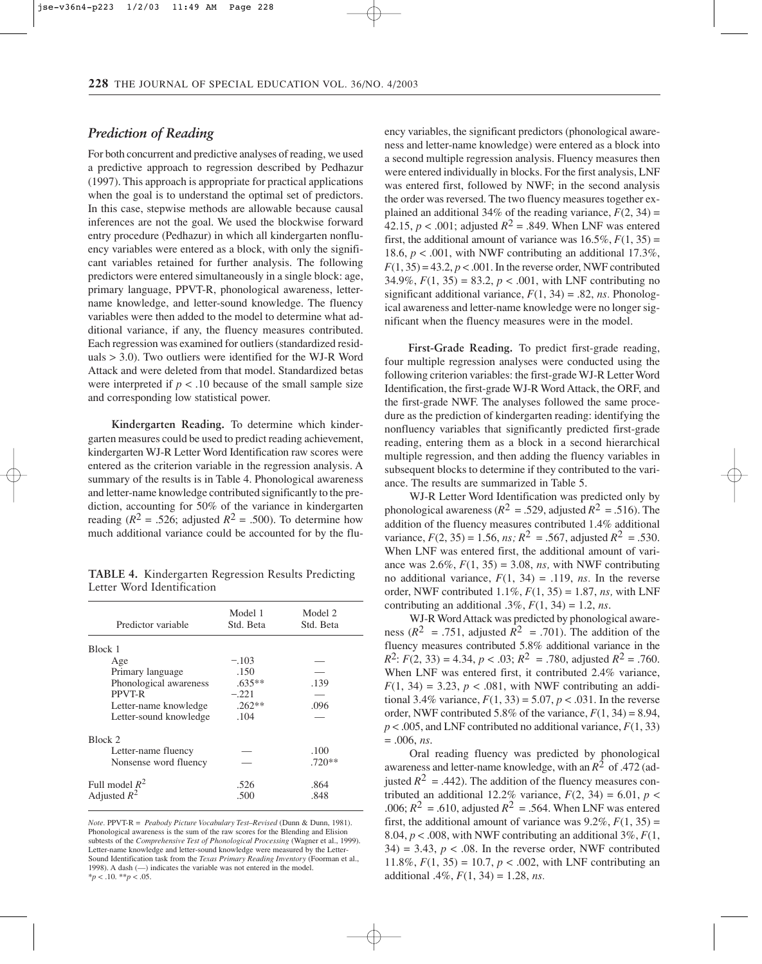#### *Prediction of Reading*

For both concurrent and predictive analyses of reading, we used a predictive approach to regression described by Pedhazur (1997). This approach is appropriate for practical applications when the goal is to understand the optimal set of predictors. In this case, stepwise methods are allowable because causal inferences are not the goal. We used the blockwise forward entry procedure (Pedhazur) in which all kindergarten nonfluency variables were entered as a block, with only the significant variables retained for further analysis. The following predictors were entered simultaneously in a single block: age, primary language, PPVT-R, phonological awareness, lettername knowledge, and letter-sound knowledge. The fluency variables were then added to the model to determine what additional variance, if any, the fluency measures contributed. Each regression was examined for outliers (standardized residuals > 3.0). Two outliers were identified for the WJ-R Word Attack and were deleted from that model. Standardized betas were interpreted if  $p < .10$  because of the small sample size and corresponding low statistical power.

**Kindergarten Reading.** To determine which kindergarten measures could be used to predict reading achievement, kindergarten WJ-R Letter Word Identification raw scores were entered as the criterion variable in the regression analysis. A summary of the results is in Table 4. Phonological awareness and letter-name knowledge contributed significantly to the prediction, accounting for 50% of the variance in kindergarten reading  $(R^2 = .526;$  adjusted  $R^2 = .500$ ). To determine how much additional variance could be accounted for by the flu-

**TABLE 4.** Kindergarten Regression Results Predicting Letter Word Identification

| Predictor variable     | Model 1<br>Std. Beta | Model 2<br>Std. Beta |
|------------------------|----------------------|----------------------|
| Block 1                |                      |                      |
| Age                    | $-.103$              |                      |
| Primary language       | .150                 |                      |
| Phonological awareness | $.635**$             | .139                 |
| PPVT-R                 | $-.221$              |                      |
| Letter-name knowledge  | $.262**$             | .096                 |
| Letter-sound knowledge | .104                 |                      |
| Block 2                |                      |                      |
| Letter-name fluency    |                      | .100                 |
| Nonsense word fluency  |                      | $.720**$             |
| Full model $R^2$       | .526                 | .864                 |
| Adjusted $R^2$         | .500                 | .848                 |
|                        |                      |                      |

*Note.* PPVT-R = *Peabody Picture Vocabulary Test–Revised* (Dunn & Dunn, 1981). Phonological awareness is the sum of the raw scores for the Blending and Elision subtests of the *Comprehensive Test of Phonological Processing* (Wagner et al., 1999). Letter-name knowledge and letter-sound knowledge were measured by the Letter-Sound Identification task from the *Texas Primary Reading Inventory* (Foorman et al., 1998). A dash (—) indicates the variable was not entered in the model. \**p* < .10. \*\**p* < .05.

ency variables, the significant predictors (phonological awareness and letter-name knowledge) were entered as a block into a second multiple regression analysis. Fluency measures then were entered individually in blocks. For the first analysis, LNF was entered first, followed by NWF; in the second analysis the order was reversed. The two fluency measures together explained an additional 34% of the reading variance,  $F(2, 34) =$ 42.15,  $p < .001$ ; adjusted  $R^2 = .849$ . When LNF was entered first, the additional amount of variance was  $16.5\%, F(1, 35) =$ 18.6,  $p < .001$ , with NWF contributing an additional 17.3%,  $F(1, 35) = 43.2, p < .001$ . In the reverse order, NWF contributed 34.9%,  $F(1, 35) = 83.2, p < .001$ , with LNF contributing no significant additional variance,  $F(1, 34) = .82$ , *ns.* Phonological awareness and letter-name knowledge were no longer significant when the fluency measures were in the model.

**First-Grade Reading.** To predict first-grade reading, four multiple regression analyses were conducted using the following criterion variables: the first-grade WJ-R Letter Word Identification, the first-grade WJ-R Word Attack, the ORF, and the first-grade NWF. The analyses followed the same procedure as the prediction of kindergarten reading: identifying the nonfluency variables that significantly predicted first-grade reading, entering them as a block in a second hierarchical multiple regression, and then adding the fluency variables in subsequent blocks to determine if they contributed to the variance. The results are summarized in Table 5.

WJ-R Letter Word Identification was predicted only by phonological awareness ( $R^2 = .529$ , adjusted  $R^2 = .516$ ). The addition of the fluency measures contributed 1.4% additional variance,  $F(2, 35) = 1.56$ , *ns*;  $R^2 = 0.567$ , adjusted  $R^2 = 0.530$ . When LNF was entered first, the additional amount of variance was  $2.6\%, F(1, 35) = 3.08$ , *ns*, with NWF contributing no additional variance,  $F(1, 34) = .119$ , *ns*. In the reverse order, NWF contributed  $1.1\%, F(1, 35) = 1.87$ , *ns*, with LNF contributing an additional  $.3\%$ ,  $F(1, 34) = 1.2$ , *ns*.

WJ-R Word Attack was predicted by phonological awareness ( $R^2$  = .751, adjusted  $R^2$  = .701). The addition of the fluency measures contributed 5.8% additional variance in the  $R^2$ :  $F(2, 33) = 4.34$ ,  $p < .03$ ;  $R^2 = .780$ , adjusted  $R^2 = .760$ . When LNF was entered first, it contributed 2.4% variance,  $F(1, 34) = 3.23$ ,  $p < .081$ , with NWF contributing an additional 3.4% variance,  $F(1, 33) = 5.07$ ,  $p < .031$ . In the reverse order, NWF contributed 5.8% of the variance,  $F(1, 34) = 8.94$ ,  $p < .005$ , and LNF contributed no additional variance,  $F(1, 33)$ = .006, *ns*.

Oral reading fluency was predicted by phonological awareness and letter-name knowledge, with an *R*2 of .472 (adjusted  $R^2 = .442$ ). The addition of the fluency measures contributed an additional 12.2% variance,  $F(2, 34) = 6.01$ ,  $p <$ .006;  $R^2$  = .610, adjusted  $R^2$  = .564. When LNF was entered first, the additional amount of variance was  $9.2\%, F(1, 35) =$ 8.04,  $p < 0.008$ , with NWF contributing an additional  $3\%, F(1, 1)$  $34$ ) = 3.43,  $p < .08$ . In the reverse order, NWF contributed 11.8%,  $F(1, 35) = 10.7$ ,  $p < .002$ , with LNF contributing an additional .4%, *F*(1, 34) = 1.28, *ns.*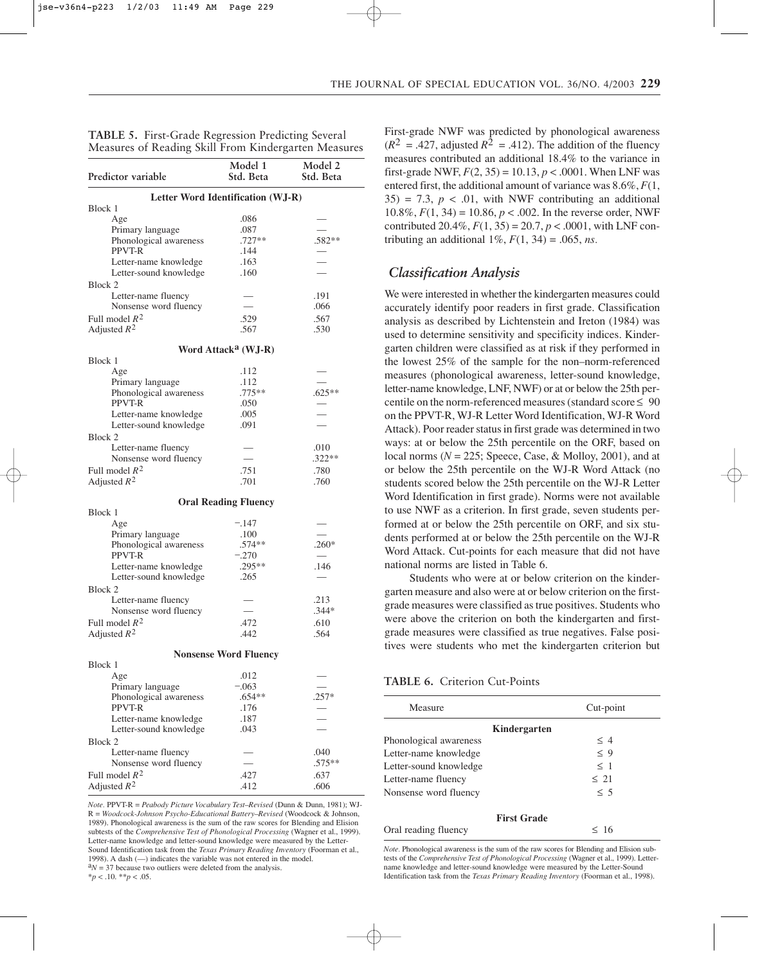| Predictor variable     | Model 1<br>Std. Beta              | Model 2<br>Std. Beta |
|------------------------|-----------------------------------|----------------------|
|                        | Letter Word Identification (WJ-R) |                      |
| Block 1                |                                   |                      |
| Age                    | .086                              |                      |
| Primary language       | .087                              |                      |
| Phonological awareness | .727**                            | $.582**$             |
| PPVT-R                 | .144                              |                      |
| Letter-name knowledge  | .163                              |                      |
| Letter-sound knowledge | .160                              |                      |
| Block 2                |                                   |                      |
| Letter-name fluency    |                                   | .191                 |
| Nonsense word fluency  |                                   | .066                 |
| Full model $R^2$       |                                   |                      |
|                        | .529                              | .567                 |
| Adjusted $R^2$         | .567                              | .530                 |
|                        | Word Attack <sup>a</sup> (WJ-R)   |                      |
| Block 1                |                                   |                      |
| Age                    | .112                              |                      |
| Primary language       | .112                              |                      |
| Phonological awareness | .775**                            | $.625**$             |
| PPVT-R                 | .050                              |                      |
| Letter-name knowledge  | .005                              |                      |
| Letter-sound knowledge | .091                              |                      |
| Block 2                |                                   |                      |
| Letter-name fluency    |                                   | .010                 |
| Nonsense word fluency  |                                   | $.322**$             |
|                        |                                   |                      |
| Full model $R^2$       | .751                              | .780                 |
| Adjusted $R^2$         | .701                              | .760                 |
|                        | <b>Oral Reading Fluency</b>       |                      |
| Block 1                |                                   |                      |
| Age                    | $-.147$                           |                      |
| Primary language       | .100                              |                      |
| Phonological awareness | .574**                            | $.260*$              |
| PPVT-R                 | $-.270$                           | $\equiv$             |
| Letter-name knowledge  | $.295**$                          | .146                 |
| Letter-sound knowledge | .265                              |                      |
| Block 2                |                                   |                      |
| Letter-name fluency    |                                   | .213                 |
| Nonsense word fluency  |                                   | $.344*$              |
|                        |                                   |                      |
| Full model $R^2$       | .472                              | .610                 |
| Adjusted $R^2$         | .442                              | .564                 |
|                        | <b>Nonsense Word Fluency</b>      |                      |
| Block 1                |                                   |                      |
| Age                    | .012                              |                      |
| Primary language       | $-.063$                           |                      |
| Phonological awareness | $.654**$                          | .257*                |
| PPVT-R                 | .176                              |                      |
| Letter-name knowledge  | .187                              |                      |
| Letter-sound knowledge | .043                              |                      |
| Block 2                |                                   |                      |
|                        |                                   |                      |
| Letter-name fluency    |                                   | .040                 |
| Nonsense word fluency  |                                   | $.575**$             |
| Full model $R^2$       | .427                              | .637                 |
| Adjusted $R^2$         | .412                              | .606                 |

**TABLE 5.** First-Grade Regression Predicting Several

*Note.* PPVT-R = *Peabody Picture Vocabulary Test–Revised* (Dunn & Dunn, 1981); WJ-R = *Woodcock-Johnson Psycho-Educational Battery–Revised* (Woodcock & Johnson, 1989). Phonological awareness is the sum of the raw scores for Blending and Elision subtests of the *Comprehensive Test of Phonological Processing* (Wagner et al., 1999). Letter-name knowledge and letter-sound knowledge were measured by the Letter-Sound Identification task from the *Texas Primary Reading Inventory* (Foorman et al., 1998). A dash (—) indicates the variable was not entered in the model.  $a_N$  = 37 because two outliers were deleted from the analysis. \**p* < .10. \*\**p* < .05.

First-grade NWF was predicted by phonological awareness  $(R^2 = .427,$  adjusted  $R^2 = .412$ ). The addition of the fluency measures contributed an additional 18.4% to the variance in first-grade NWF,  $F(2, 35) = 10.13$ ,  $p < .0001$ . When LNF was entered first, the additional amount of variance was 8.6%, *F*(1,  $35$ ) = 7.3,  $p < .01$ , with NWF contributing an additional 10.8%,  $F(1, 34) = 10.86$ ,  $p < .002$ . In the reverse order, NWF contributed 20.4%,  $F(1, 35) = 20.7$ ,  $p < .0001$ , with LNF contributing an additional  $1\%$ ,  $F(1, 34) = .065$ , *ns.* 

#### *Classification Analysis*

We were interested in whether the kindergarten measures could accurately identify poor readers in first grade. Classification analysis as described by Lichtenstein and Ireton (1984) was used to determine sensitivity and specificity indices. Kindergarten children were classified as at risk if they performed in the lowest 25% of the sample for the non–norm-referenced measures (phonological awareness, letter-sound knowledge, letter-name knowledge, LNF, NWF) or at or below the 25th percentile on the norm-referenced measures (standard score≤ 90 on the PPVT-R, WJ-R Letter Word Identification, WJ-R Word Attack). Poor reader status in first grade was determined in two ways: at or below the 25th percentile on the ORF, based on local norms ( $N = 225$ ; Speece, Case, & Molloy, 2001), and at or below the 25th percentile on the WJ-R Word Attack (no students scored below the 25th percentile on the WJ-R Letter Word Identification in first grade). Norms were not available to use NWF as a criterion. In first grade, seven students performed at or below the 25th percentile on ORF, and six students performed at or below the 25th percentile on the WJ-R Word Attack. Cut-points for each measure that did not have national norms are listed in Table 6.

Students who were at or below criterion on the kindergarten measure and also were at or below criterion on the firstgrade measures were classified as true positives. Students who were above the criterion on both the kindergarten and firstgrade measures were classified as true negatives. False positives were students who met the kindergarten criterion but

**TABLE 6.** Criterion Cut-Points

| Measure                | Cut-point          |
|------------------------|--------------------|
|                        | Kindergarten       |
| Phonological awareness | $\leq 4$           |
| Letter-name knowledge  | $\leq 9$           |
| Letter-sound knowledge | $\leq$ 1           |
| Letter-name fluency    | $\leq$ 21          |
| Nonsense word fluency  | $\leq 5$           |
|                        | <b>First Grade</b> |
| Oral reading fluency   | < 16               |

*Note.* Phonological awareness is the sum of the raw scores for Blending and Elision subtests of the *Comprehensive Test of Phonological Processing* (Wagner et al., 1999). Lettername knowledge and letter-sound knowledge were measured by the Letter-Sound Identification task from the *Texas Primary Reading Inventory* (Foorman et al., 1998).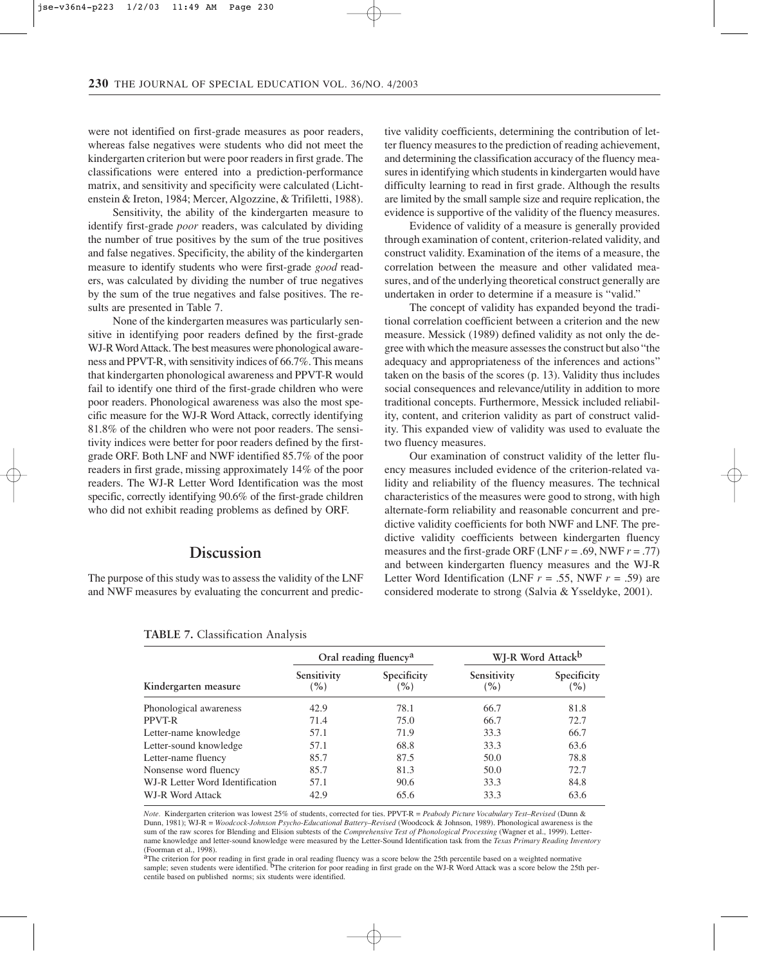were not identified on first-grade measures as poor readers, whereas false negatives were students who did not meet the kindergarten criterion but were poor readers in first grade. The classifications were entered into a prediction-performance matrix, and sensitivity and specificity were calculated (Lichtenstein & Ireton, 1984; Mercer, Algozzine, & Trifiletti, 1988).

Sensitivity, the ability of the kindergarten measure to identify first-grade *poor* readers, was calculated by dividing the number of true positives by the sum of the true positives and false negatives. Specificity, the ability of the kindergarten measure to identify students who were first-grade *good* readers, was calculated by dividing the number of true negatives by the sum of the true negatives and false positives. The results are presented in Table 7.

None of the kindergarten measures was particularly sensitive in identifying poor readers defined by the first-grade WJ-R Word Attack. The best measures were phonological awareness and PPVT-R, with sensitivity indices of 66.7%. This means that kindergarten phonological awareness and PPVT-R would fail to identify one third of the first-grade children who were poor readers. Phonological awareness was also the most specific measure for the WJ-R Word Attack, correctly identifying 81.8% of the children who were not poor readers. The sensitivity indices were better for poor readers defined by the firstgrade ORF. Both LNF and NWF identified 85.7% of the poor readers in first grade, missing approximately 14% of the poor readers. The WJ-R Letter Word Identification was the most specific, correctly identifying 90.6% of the first-grade children who did not exhibit reading problems as defined by ORF.

## **Discussion**

The purpose of this study was to assess the validity of the LNF and NWF measures by evaluating the concurrent and predic-

tive validity coefficients, determining the contribution of letter fluency measures to the prediction of reading achievement, and determining the classification accuracy of the fluency measures in identifying which students in kindergarten would have difficulty learning to read in first grade. Although the results are limited by the small sample size and require replication, the evidence is supportive of the validity of the fluency measures.

Evidence of validity of a measure is generally provided through examination of content, criterion-related validity, and construct validity. Examination of the items of a measure, the correlation between the measure and other validated measures, and of the underlying theoretical construct generally are undertaken in order to determine if a measure is "valid."

The concept of validity has expanded beyond the traditional correlation coefficient between a criterion and the new measure. Messick (1989) defined validity as not only the degree with which the measure assesses the construct but also "the adequacy and appropriateness of the inferences and actions" taken on the basis of the scores (p. 13). Validity thus includes social consequences and relevance/utility in addition to more traditional concepts. Furthermore, Messick included reliability, content, and criterion validity as part of construct validity. This expanded view of validity was used to evaluate the two fluency measures.

Our examination of construct validity of the letter fluency measures included evidence of the criterion-related validity and reliability of the fluency measures. The technical characteristics of the measures were good to strong, with high alternate-form reliability and reasonable concurrent and predictive validity coefficients for both NWF and LNF. The predictive validity coefficients between kindergarten fluency measures and the first-grade ORF (LNF *r* = .69, NWF *r* = .77) and between kindergarten fluency measures and the WJ-R Letter Word Identification (LNF *r* = .55, NWF *r* = .59) are considered moderate to strong (Salvia & Ysseldyke, 2001).

|                                   |                    | Oral reading fluency <sup>a</sup> | WJ-R Word Attackb  |                       |  |
|-----------------------------------|--------------------|-----------------------------------|--------------------|-----------------------|--|
| Kindergarten measure              | Sensitivity<br>(%) | Specificity<br>(%)                | Sensitivity<br>(%) | Specificity<br>$($ %) |  |
| Phonological awareness            | 42.9               | 78.1                              | 66.7               | 81.8                  |  |
| PPVT-R                            | 71.4               | 75.0                              | 66.7               | 72.7                  |  |
| Letter-name knowledge             | 57.1               | 71.9                              | 33.3               | 66.7                  |  |
| Letter-sound knowledge            | 57.1               | 68.8                              | 33.3               | 63.6                  |  |
| Letter-name fluency               | 85.7               | 87.5                              | 50.0               | 78.8                  |  |
| Nonsense word fluency             | 85.7               | 81.3                              | 50.0               | 72.7                  |  |
| W.J.-R Letter Word Identification | 57.1               | 90.6                              | 33.3               | 84.8                  |  |
| W.J-R Word Attack                 | 42.9               | 65.6                              | 33.3               | 63.6                  |  |

#### **TABLE 7.** Classification Analysis

*Note.* Kindergarten criterion was lowest 25% of students, corrected for ties. PPVT-R = *Peabody Picture Vocabulary Test–Revised* (Dunn & Dunn, 1981); WJ-R = *Woodcock-Johnson Psycho-Educational Battery–Revised* (Woodcock & Johnson, 1989). Phonological awareness is the sum of the raw scores for Blending and Elision subtests of the *Comprehensive Test of Phonological Processing* (Wagner et al., 1999). Lettername knowledge and letter-sound knowledge were measured by the Letter-Sound Identification task from the *Texas Primary Reading Inventory* (Foorman et al., 1998).

a<br>The criterion for poor reading in first grade in oral reading fluency was a score below the 25th percentile based on a weighted normative<br>sample; seven students were identified. <sup>D</sup>The criterion for poor reading in first centile based on published norms; six students were identified.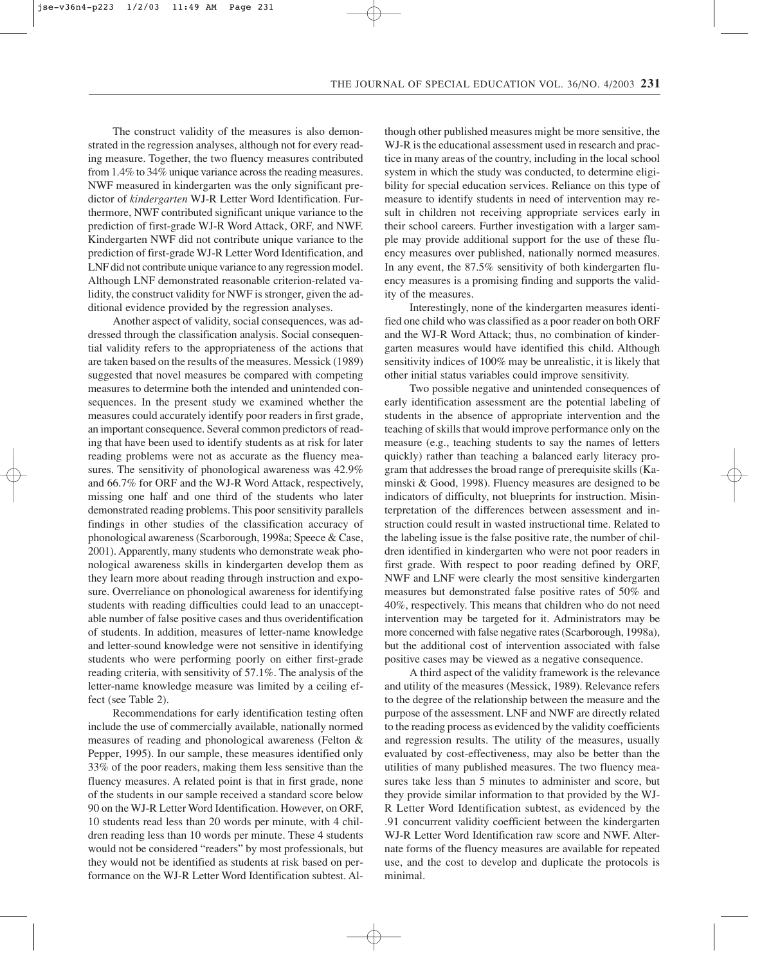The construct validity of the measures is also demonstrated in the regression analyses, although not for every reading measure. Together, the two fluency measures contributed from 1.4% to 34% unique variance across the reading measures. NWF measured in kindergarten was the only significant predictor of *kindergarten* WJ-R Letter Word Identification. Furthermore, NWF contributed significant unique variance to the prediction of first-grade WJ-R Word Attack, ORF, and NWF. Kindergarten NWF did not contribute unique variance to the prediction of first-grade WJ-R Letter Word Identification, and LNF did not contribute unique variance to any regression model. Although LNF demonstrated reasonable criterion-related validity, the construct validity for NWF is stronger, given the additional evidence provided by the regression analyses.

Another aspect of validity, social consequences, was addressed through the classification analysis. Social consequential validity refers to the appropriateness of the actions that are taken based on the results of the measures. Messick (1989) suggested that novel measures be compared with competing measures to determine both the intended and unintended consequences. In the present study we examined whether the measures could accurately identify poor readers in first grade, an important consequence. Several common predictors of reading that have been used to identify students as at risk for later reading problems were not as accurate as the fluency measures. The sensitivity of phonological awareness was 42.9% and 66.7% for ORF and the WJ-R Word Attack, respectively, missing one half and one third of the students who later demonstrated reading problems. This poor sensitivity parallels findings in other studies of the classification accuracy of phonological awareness (Scarborough, 1998a; Speece & Case, 2001). Apparently, many students who demonstrate weak phonological awareness skills in kindergarten develop them as they learn more about reading through instruction and exposure. Overreliance on phonological awareness for identifying students with reading difficulties could lead to an unacceptable number of false positive cases and thus overidentification of students. In addition, measures of letter-name knowledge and letter-sound knowledge were not sensitive in identifying students who were performing poorly on either first-grade reading criteria, with sensitivity of 57.1%. The analysis of the letter-name knowledge measure was limited by a ceiling effect (see Table 2).

Recommendations for early identification testing often include the use of commercially available, nationally normed measures of reading and phonological awareness (Felton & Pepper, 1995). In our sample, these measures identified only 33% of the poor readers, making them less sensitive than the fluency measures. A related point is that in first grade, none of the students in our sample received a standard score below 90 on the WJ-R Letter Word Identification. However, on ORF, 10 students read less than 20 words per minute, with 4 children reading less than 10 words per minute. These 4 students would not be considered "readers" by most professionals, but they would not be identified as students at risk based on performance on the WJ-R Letter Word Identification subtest. Although other published measures might be more sensitive, the WJ-R is the educational assessment used in research and practice in many areas of the country, including in the local school system in which the study was conducted, to determine eligibility for special education services. Reliance on this type of measure to identify students in need of intervention may result in children not receiving appropriate services early in their school careers. Further investigation with a larger sample may provide additional support for the use of these fluency measures over published, nationally normed measures. In any event, the 87.5% sensitivity of both kindergarten fluency measures is a promising finding and supports the validity of the measures.

Interestingly, none of the kindergarten measures identified one child who was classified as a poor reader on both ORF and the WJ-R Word Attack; thus, no combination of kindergarten measures would have identified this child. Although sensitivity indices of 100% may be unrealistic, it is likely that other initial status variables could improve sensitivity.

Two possible negative and unintended consequences of early identification assessment are the potential labeling of students in the absence of appropriate intervention and the teaching of skills that would improve performance only on the measure (e.g., teaching students to say the names of letters quickly) rather than teaching a balanced early literacy program that addresses the broad range of prerequisite skills (Kaminski & Good, 1998). Fluency measures are designed to be indicators of difficulty, not blueprints for instruction. Misinterpretation of the differences between assessment and instruction could result in wasted instructional time. Related to the labeling issue is the false positive rate, the number of children identified in kindergarten who were not poor readers in first grade. With respect to poor reading defined by ORF, NWF and LNF were clearly the most sensitive kindergarten measures but demonstrated false positive rates of 50% and 40%, respectively. This means that children who do not need intervention may be targeted for it. Administrators may be more concerned with false negative rates (Scarborough, 1998a), but the additional cost of intervention associated with false positive cases may be viewed as a negative consequence.

A third aspect of the validity framework is the relevance and utility of the measures (Messick, 1989). Relevance refers to the degree of the relationship between the measure and the purpose of the assessment. LNF and NWF are directly related to the reading process as evidenced by the validity coefficients and regression results. The utility of the measures, usually evaluated by cost-effectiveness, may also be better than the utilities of many published measures. The two fluency measures take less than 5 minutes to administer and score, but they provide similar information to that provided by the WJ-R Letter Word Identification subtest, as evidenced by the .91 concurrent validity coefficient between the kindergarten WJ-R Letter Word Identification raw score and NWF. Alternate forms of the fluency measures are available for repeated use, and the cost to develop and duplicate the protocols is minimal.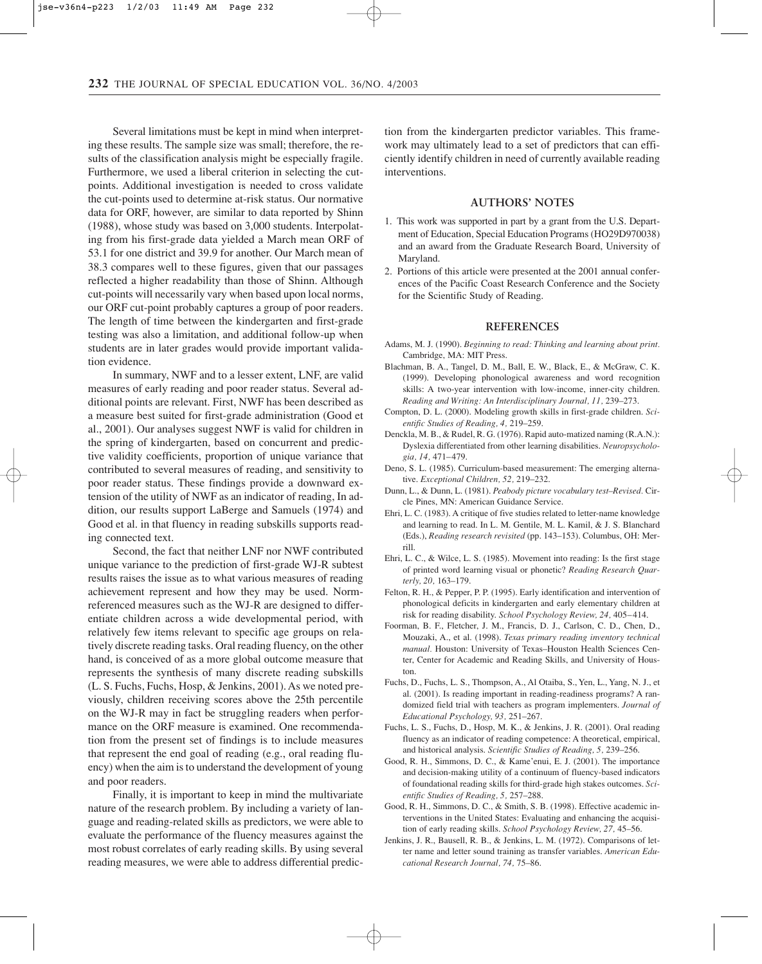Several limitations must be kept in mind when interpreting these results. The sample size was small; therefore, the results of the classification analysis might be especially fragile. Furthermore, we used a liberal criterion in selecting the cutpoints. Additional investigation is needed to cross validate the cut-points used to determine at-risk status. Our normative data for ORF, however, are similar to data reported by Shinn (1988), whose study was based on 3,000 students. Interpolating from his first-grade data yielded a March mean ORF of 53.1 for one district and 39.9 for another. Our March mean of 38.3 compares well to these figures, given that our passages reflected a higher readability than those of Shinn. Although cut-points will necessarily vary when based upon local norms, our ORF cut-point probably captures a group of poor readers. The length of time between the kindergarten and first-grade testing was also a limitation, and additional follow-up when students are in later grades would provide important validation evidence.

In summary, NWF and to a lesser extent, LNF, are valid measures of early reading and poor reader status. Several additional points are relevant. First, NWF has been described as a measure best suited for first-grade administration (Good et al., 2001). Our analyses suggest NWF is valid for children in the spring of kindergarten, based on concurrent and predictive validity coefficients, proportion of unique variance that contributed to several measures of reading, and sensitivity to poor reader status. These findings provide a downward extension of the utility of NWF as an indicator of reading, In addition, our results support LaBerge and Samuels (1974) and Good et al. in that fluency in reading subskills supports reading connected text.

Second, the fact that neither LNF nor NWF contributed unique variance to the prediction of first-grade WJ-R subtest results raises the issue as to what various measures of reading achievement represent and how they may be used. Normreferenced measures such as the WJ-R are designed to differentiate children across a wide developmental period, with relatively few items relevant to specific age groups on relatively discrete reading tasks. Oral reading fluency, on the other hand, is conceived of as a more global outcome measure that represents the synthesis of many discrete reading subskills (L. S. Fuchs, Fuchs, Hosp, & Jenkins, 2001). As we noted previously, children receiving scores above the 25th percentile on the WJ-R may in fact be struggling readers when performance on the ORF measure is examined. One recommendation from the present set of findings is to include measures that represent the end goal of reading (e.g., oral reading fluency) when the aim is to understand the development of young and poor readers.

Finally, it is important to keep in mind the multivariate nature of the research problem. By including a variety of language and reading-related skills as predictors, we were able to evaluate the performance of the fluency measures against the most robust correlates of early reading skills. By using several reading measures, we were able to address differential prediction from the kindergarten predictor variables. This framework may ultimately lead to a set of predictors that can efficiently identify children in need of currently available reading interventions.

#### **AUTHORS' NOTES**

- 1. This work was supported in part by a grant from the U.S. Department of Education, Special Education Programs (HO29D970038) and an award from the Graduate Research Board, University of Maryland.
- 2. Portions of this article were presented at the 2001 annual conferences of the Pacific Coast Research Conference and the Society for the Scientific Study of Reading.

#### **REFERENCES**

- Adams, M. J. (1990). *Beginning to read: Thinking and learning about print.* Cambridge, MA: MIT Press.
- Blachman, B. A., Tangel, D. M., Ball, E. W., Black, E., & McGraw, C. K. (1999). Developing phonological awareness and word recognition skills: A two-year intervention with low-income, inner-city children. *Reading and Writing: An Interdisciplinary Journal, 11,* 239–273.
- Compton, D. L. (2000). Modeling growth skills in first-grade children. *Scientific Studies of Reading, 4,* 219–259.
- Denckla, M. B., & Rudel, R. G. (1976). Rapid auto-matized naming (R.A.N.): Dyslexia differentiated from other learning disabilities. *Neuropsychologia, 14,* 471–479.
- Deno, S. L. (1985). Curriculum-based measurement: The emerging alternative. *Exceptional Children, 52,* 219–232.
- Dunn, L., & Dunn, L. (1981). *Peabody picture vocabulary test–Revised.* Circle Pines, MN: American Guidance Service.
- Ehri, L. C. (1983). A critique of five studies related to letter-name knowledge and learning to read. In L. M. Gentile, M. L. Kamil, & J. S. Blanchard (Eds.), *Reading research revisited* (pp. 143–153). Columbus, OH: Merrill.
- Ehri, L. C., & Wilce, L. S. (1985). Movement into reading: Is the first stage of printed word learning visual or phonetic? *Reading Research Quarterly, 20,* 163–179.
- Felton, R. H., & Pepper, P. P. (1995). Early identification and intervention of phonological deficits in kindergarten and early elementary children at risk for reading disability. *School Psychology Review, 24,* 405–414.
- Foorman, B. F., Fletcher, J. M., Francis, D. J., Carlson, C. D., Chen, D., Mouzaki, A., et al. (1998). *Texas primary reading inventory technical manual.* Houston: University of Texas–Houston Health Sciences Center, Center for Academic and Reading Skills, and University of Houston.
- Fuchs, D., Fuchs, L. S., Thompson, A., Al Otaiba, S., Yen, L., Yang, N. J., et al. (2001). Is reading important in reading-readiness programs? A randomized field trial with teachers as program implementers. *Journal of Educational Psychology, 93,* 251–267.
- Fuchs, L. S., Fuchs, D., Hosp, M. K., & Jenkins, J. R. (2001). Oral reading fluency as an indicator of reading competence: A theoretical, empirical, and historical analysis. *Scientific Studies of Reading, 5,* 239–256.
- Good, R. H., Simmons, D. C., & Kame'enui, E. J. (2001). The importance and decision-making utility of a continuum of fluency-based indicators of foundational reading skills for third-grade high stakes outcomes. *Scientific Studies of Reading, 5,* 257–288.
- Good, R. H., Simmons, D. C., & Smith, S. B. (1998). Effective academic interventions in the United States: Evaluating and enhancing the acquisition of early reading skills. *School Psychology Review, 27,* 45–56.
- Jenkins, J. R., Bausell, R. B., & Jenkins, L. M. (1972). Comparisons of letter name and letter sound training as transfer variables. *American Educational Research Journal, 74,* 75–86.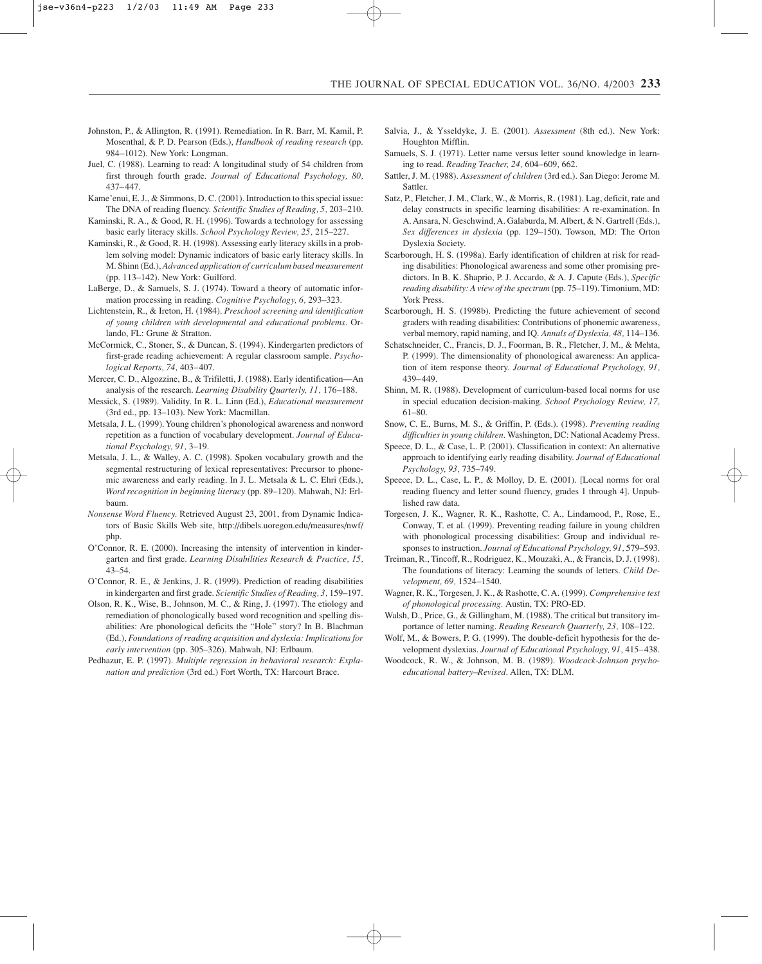- Johnston, P., & Allington, R. (1991). Remediation. In R. Barr, M. Kamil, P. Mosenthal, & P. D. Pearson (Eds.), *Handbook of reading research* (pp. 984–1012). New York: Longman.
- Juel, C. (1988). Learning to read: A longitudinal study of 54 children from first through fourth grade. *Journal of Educational Psychology, 80,* 437–447.
- Kame'enui, E. J., & Simmons, D. C. (2001). Introduction to this special issue: The DNA of reading fluency. *Scientific Studies of Reading, 5,* 203–210.
- Kaminski, R. A., & Good, R. H. (1996). Towards a technology for assessing basic early literacy skills. *School Psychology Review, 25,* 215–227.
- Kaminski, R., & Good, R. H. (1998). Assessing early literacy skills in a problem solving model: Dynamic indicators of basic early literacy skills. In M. Shinn (Ed.), *Advanced application of curriculum based measurement* (pp. 113–142). New York: Guilford.
- LaBerge, D., & Samuels, S. J. (1974). Toward a theory of automatic information processing in reading. *Cognitive Psychology, 6,* 293–323.
- Lichtenstein, R., & Ireton, H. (1984). *Preschool screening and identification of young children with developmental and educational problems.* Orlando, FL: Grune & Stratton.
- McCormick, C., Stoner, S., & Duncan, S. (1994). Kindergarten predictors of first-grade reading achievement: A regular classroom sample. *Psychological Reports, 74,* 403–407.
- Mercer, C. D., Algozzine, B., & Trifiletti, J. (1988). Early identification—An analysis of the research. *Learning Disability Quarterly, 11,* 176–188.
- Messick, S. (1989). Validity. In R. L. Linn (Ed.), *Educational measurement* (3rd ed., pp. 13–103). New York: Macmillan.
- Metsala, J. L. (1999). Young children's phonological awareness and nonword repetition as a function of vocabulary development. *Journal of Educational Psychology, 91,* 3–19.
- Metsala, J. L., & Walley, A. C. (1998). Spoken vocabulary growth and the segmental restructuring of lexical representatives: Precursor to phonemic awareness and early reading. In J. L. Metsala & L. C. Ehri (Eds.), *Word recognition in beginning literacy* (pp. 89–120). Mahwah, NJ: Erlbaum.
- *Nonsense Word Fluency.* Retrieved August 23, 2001, from Dynamic Indicators of Basic Skills Web site, http://dibels.uoregon.edu/measures/nwf/ php.
- O'Connor, R. E. (2000). Increasing the intensity of intervention in kindergarten and first grade. *Learning Disabilities Research & Practice, 15,* 43–54.
- O'Connor, R. E., & Jenkins, J. R. (1999). Prediction of reading disabilities in kindergarten and first grade. *Scientific Studies of Reading, 3,* 159–197.
- Olson, R. K., Wise, B., Johnson, M. C., & Ring, J. (1997). The etiology and remediation of phonologically based word recognition and spelling disabilities: Are phonological deficits the "Hole" story? In B. Blachman (Ed.), *Foundations of reading acquisition and dyslexia: Implications for early intervention* (pp. 305–326). Mahwah, NJ: Erlbaum.
- Pedhazur, E. P. (1997). *Multiple regression in behavioral research: Explanation and prediction* (3rd ed.) Fort Worth, TX: Harcourt Brace.
- Salvia, J., & Ysseldyke, J. E. (2001). *Assessment* (8th ed.). New York: Houghton Mifflin.
- Samuels, S. J. (1971). Letter name versus letter sound knowledge in learning to read. *Reading Teacher, 24,* 604–609, 662.
- Sattler, J. M. (1988). *Assessment of children* (3rd ed.). San Diego: Jerome M. Sattler.
- Satz, P., Fletcher, J. M., Clark, W., & Morris, R. (1981). Lag, deficit, rate and delay constructs in specific learning disabilities: A re-examination. In A. Ansara, N. Geschwind, A. Galaburda, M. Albert, & N. Gartrell (Eds.), *Sex differences in dyslexia* (pp. 129–150). Towson, MD: The Orton Dyslexia Society.
- Scarborough, H. S. (1998a). Early identification of children at risk for reading disabilities: Phonological awareness and some other promising predictors. In B. K. Shaprio, P. J. Accardo, & A. J. Capute (Eds.), *Specific reading disability: A view of the spectrum* (pp. 75–119). Timonium, MD: York Press.
- Scarborough, H. S. (1998b). Predicting the future achievement of second graders with reading disabilities: Contributions of phonemic awareness, verbal memory, rapid naming, and IQ. *Annals of Dyslexia, 48,* 114–136.
- Schatschneider, C., Francis, D. J., Foorman, B. R., Fletcher, J. M., & Mehta, P. (1999). The dimensionality of phonological awareness: An application of item response theory. *Journal of Educational Psychology, 91,* 439–449.
- Shinn, M. R. (1988). Development of curriculum-based local norms for use in special education decision-making. *School Psychology Review, 17,* 61–80.
- Snow, C. E., Burns, M. S., & Griffin, P. (Eds.). (1998). *Preventing reading difficulties in young children.* Washington, DC: National Academy Press.
- Speece, D. L., & Case, L. P. (2001). Classification in context: An alternative approach to identifying early reading disability. *Journal of Educational Psychology, 93,* 735–749.
- Speece, D. L., Case, L. P., & Molloy, D. E. (2001). [Local norms for oral reading fluency and letter sound fluency, grades 1 through 4]. Unpublished raw data.
- Torgesen, J. K., Wagner, R. K., Rashotte, C. A., Lindamood, P., Rose, E., Conway, T. et al. (1999). Preventing reading failure in young children with phonological processing disabilities: Group and individual responses to instruction. *Journal of Educational Psychology, 91,* 579–593.
- Treiman, R., Tincoff, R., Rodriguez, K., Mouzaki, A., & Francis, D. J. (1998). The foundations of literacy: Learning the sounds of letters. *Child Development, 69,* 1524–1540.
- Wagner, R. K., Torgesen, J. K., & Rashotte, C. A. (1999). *Comprehensive test of phonological processing.* Austin, TX: PRO-ED.
- Walsh, D., Price, G., & Gillingham, M. (1988). The critical but transitory importance of letter naming. *Reading Research Quarterly, 23,* 108–122.
- Wolf, M., & Bowers, P. G. (1999). The double-deficit hypothesis for the development dyslexias. *Journal of Educational Psychology, 91,* 415–438.
- Woodcock, R. W., & Johnson, M. B. (1989). *Woodcock-Johnson psychoeducational battery–Revised.* Allen, TX: DLM.